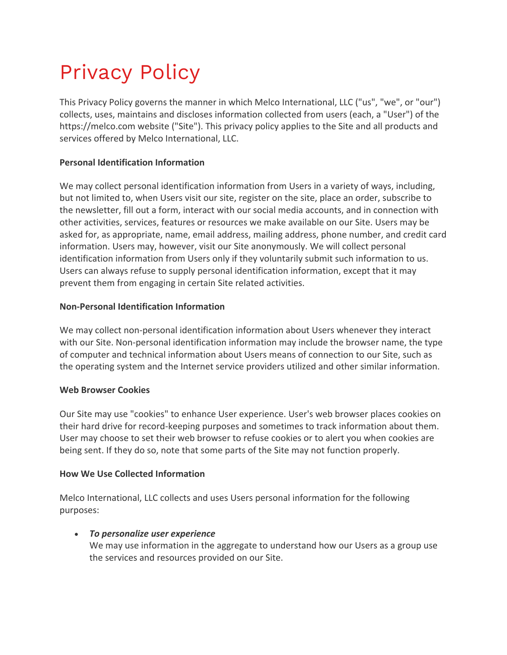# Privacy Policy

This Privacy Policy governs the manner in which Melco International, LLC ("us", "we", or "our") collects, uses, maintains and discloses information collected from users (each, a "User") of the https://melco.com website ("Site"). This privacy policy applies to the Site and all products and services offered by Melco International, LLC.

# **Personal Identification Information**

We may collect personal identification information from Users in a variety of ways, including, but not limited to, when Users visit our site, register on the site, place an order, subscribe to the newsletter, fill out a form, interact with our social media accounts, and in connection with other activities, services, features or resources we make available on our Site. Users may be asked for, as appropriate, name, email address, mailing address, phone number, and credit card information. Users may, however, visit our Site anonymously. We will collect personal identification information from Users only if they voluntarily submit such information to us. Users can always refuse to supply personal identification information, except that it may prevent them from engaging in certain Site related activities.

# **Non-Personal Identification Information**

We may collect non-personal identification information about Users whenever they interact with our Site. Non-personal identification information may include the browser name, the type of computer and technical information about Users means of connection to our Site, such as the operating system and the Internet service providers utilized and other similar information.

# **Web Browser Cookies**

Our Site may use "cookies" to enhance User experience. User's web browser places cookies on their hard drive for record-keeping purposes and sometimes to track information about them. User may choose to set their web browser to refuse cookies or to alert you when cookies are being sent. If they do so, note that some parts of the Site may not function properly.

# **How We Use Collected Information**

Melco International, LLC collects and uses Users personal information for the following purposes:

# • *To personalize user experience*

We may use information in the aggregate to understand how our Users as a group use the services and resources provided on our Site.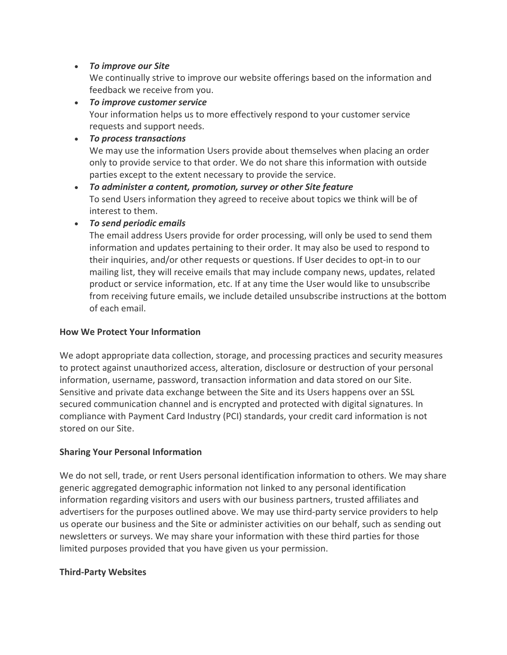# • *To improve our Site*

We continually strive to improve our website offerings based on the information and feedback we receive from you.

• *To improve customer service* Your information helps us to more effectively respond to your customer service requests and support needs.

# • *To process transactions*

We may use the information Users provide about themselves when placing an order only to provide service to that order. We do not share this information with outside parties except to the extent necessary to provide the service.

• *To administer a content, promotion, survey or other Site feature* To send Users information they agreed to receive about topics we think will be of interest to them.

# • *To send periodic emails*

The email address Users provide for order processing, will only be used to send them information and updates pertaining to their order. It may also be used to respond to their inquiries, and/or other requests or questions. If User decides to opt-in to our mailing list, they will receive emails that may include company news, updates, related product or service information, etc. If at any time the User would like to unsubscribe from receiving future emails, we include detailed unsubscribe instructions at the bottom of each email.

# **How We Protect Your Information**

We adopt appropriate data collection, storage, and processing practices and security measures to protect against unauthorized access, alteration, disclosure or destruction of your personal information, username, password, transaction information and data stored on our Site. Sensitive and private data exchange between the Site and its Users happens over an SSL secured communication channel and is encrypted and protected with digital signatures. In compliance with Payment Card Industry (PCI) standards, your credit card information is not stored on our Site.

# **Sharing Your Personal Information**

We do not sell, trade, or rent Users personal identification information to others. We may share generic aggregated demographic information not linked to any personal identification information regarding visitors and users with our business partners, trusted affiliates and advertisers for the purposes outlined above. We may use third-party service providers to help us operate our business and the Site or administer activities on our behalf, such as sending out newsletters or surveys. We may share your information with these third parties for those limited purposes provided that you have given us your permission.

# **Third-Party Websites**